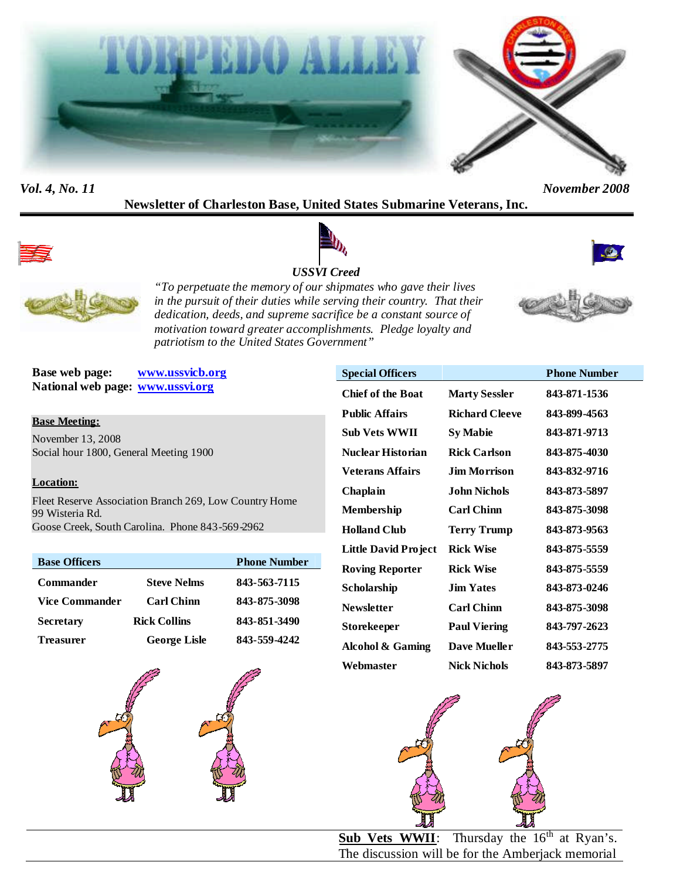



*Vol. 4, No. 11 November 2008*

**Newsletter of Charleston Base, United States Submarine Veterans, Inc.**



# *USSVI Creed*





*"To perpetuate the memory of our shipmates who gave their lives in the pursuit of their duties while serving their country. That their dedication, deeds, and supreme sacrifice be a constant source of motivation toward greater accomplishments. Pledge loyalty and patriotism to the United States Government"*



**Base web page: www.ussvicb.org National web page: www.ussvi.org**

#### **Base Meeting:**

November 13, 2008 Social hour 1800, General Meeting 1900

#### **Location:**

Fleet Reserve Association Branch 269, Low Country Home 99 Wisteria Rd. Goose Creek, South Carolina. Phone 843-569-2962

| <b>Base Officers</b>  |                     | <b>Phone Number</b> |
|-----------------------|---------------------|---------------------|
| <b>Commander</b>      | <b>Steve Nelms</b>  | 843-563-7115        |
| <b>Vice Commander</b> | <b>Carl Chinn</b>   | 843-875-3098        |
| <b>Secretary</b>      | <b>Rick Collins</b> | 843-851-3490        |
| <b>Treasurer</b>      | <b>George Lisle</b> | 843-559-4242        |



| <b>Special Officers</b>  |                       | <b>Phone Number</b> |
|--------------------------|-----------------------|---------------------|
| <b>Chief of the Boat</b> | <b>Marty Sessler</b>  | 843-871-1536        |
| <b>Public Affairs</b>    | <b>Richard Cleeve</b> | 843-899-4563        |
| <b>Sub Vets WWII</b>     | <b>Sy Mabie</b>       | 843-871-9713        |
| <b>Nuclear Historian</b> | <b>Rick Carlson</b>   | 843-875-4030        |
| <b>Veterans Affairs</b>  | Jim Morrison.         | 843-832-9716        |
| Chaplain                 | John Nichols          | 843-873-5897        |
| Membership               | <b>Carl Chinn</b>     | 843-875-3098        |
| <b>Holland Club</b>      | <b>Terry Trump</b>    | 843-873-9563        |
| Little David Project     | <b>Rick Wise</b>      | 843-875-5559        |
| <b>Roving Reporter</b>   | <b>Rick Wise</b>      | 843-875-5559        |
| Scholarship              | <b>Jim Yates</b>      | 843-873-0246        |
| <b>Newsletter</b>        | <b>Carl Chinn</b>     | 843-875-3098        |
| <b>Storekeeper</b>       | <b>Paul Viering</b>   | 843-797-2623        |
| Alcohol & Gaming         | <b>Dave Mueller</b>   | 843-553-2775        |
| Webmaster                | <b>Nick Nichols</b>   | 843-873-5897        |



**Sub Vets WWII**: Thursday the 16<sup>th</sup> at Ryan's. The discussion will be for the Amberjack memorial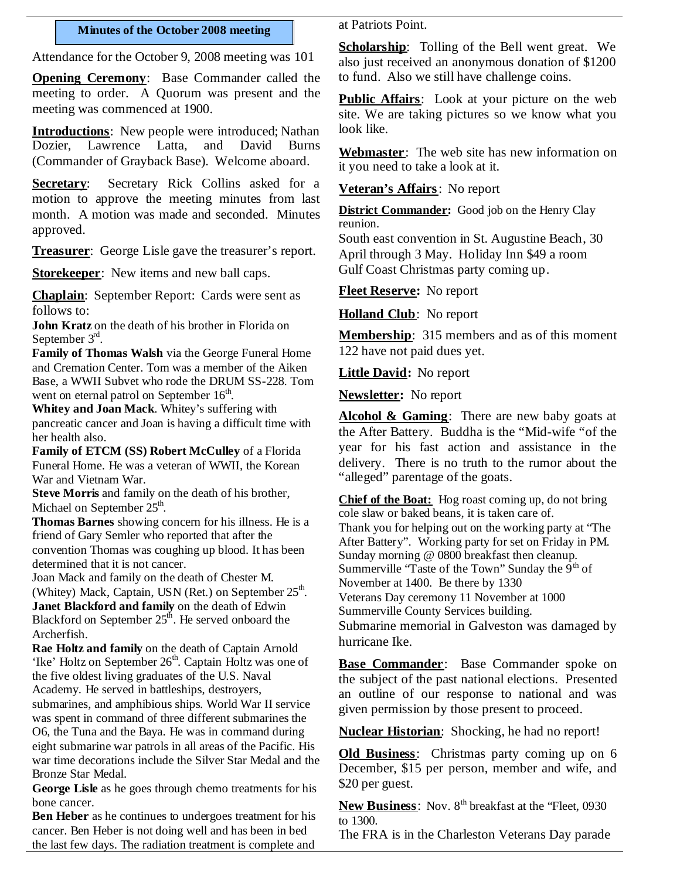#### **Minutes of the October 2008 meeting**

Attendance for the October 9, 2008 meeting was 101

**Opening Ceremony**: Base Commander called the meeting to order. A Quorum was present and the meeting was commenced at 1900.

**Introductions**: New people were introduced; Nathan Dozier, Lawrence Latta, and David Burns (Commander of Grayback Base). Welcome aboard.

**Secretary:** Secretary Rick Collins asked for a motion to approve the meeting minutes from last month. A motion was made and seconded. Minutes approved.

**Treasurer**: George Lisle gave the treasurer's report.

**Storekeeper**: New items and new ball caps.

**Chaplain**: September Report: Cards were sent as follows to:

**John Kratz** on the death of his brother in Florida on September 3<sup>rd</sup>.

**Family of Thomas Walsh** via the George Funeral Home and Cremation Center. Tom was a member of the Aiken Base, a WWII Subvet who rode the DRUM SS-228. Tom went on eternal patrol on September 16<sup>th</sup>.

**Whitey and Joan Mack**. Whitey's suffering with pancreatic cancer and Joan is having a difficult time with her health also.

**Family of ETCM (SS) Robert McCulley** of a Florida Funeral Home. He was a veteran of WWII, the Korean War and Vietnam War.

**Steve Morris** and family on the death of his brother, Michael on September 25<sup>th</sup>.

**Thomas Barnes** showing concern for his illness. He is a friend of Gary Semler who reported that after the convention Thomas was coughing up blood. It has been determined that it is not cancer.

Joan Mack and family on the death of Chester M. (Whitey) Mack, Captain, USN (Ret.) on September 25<sup>th</sup>. **Janet Blackford and family** on the death of Edwin Blackford on September  $25<sup>th</sup>$ . He served onboard the Archerfish.

**Rae Holtz and family** on the death of Captain Arnold 'Ike' Holtz on September 26<sup>th</sup>. Captain Holtz was one of the five oldest living graduates of the U.S. Naval Academy. He served in battleships, destroyers,

submarines, and amphibious ships. World War II service was spent in command of three different submarines the O6, the Tuna and the Baya. He was in command during eight submarine war patrols in all areas of the Pacific. His war time decorations include the Silver Star Medal and the Bronze Star Medal.

**George Lisle** as he goes through chemo treatments for his bone cancer.

**Ben Heber** as he continues to undergoes treatment for his cancer. Ben Heber is not doing well and has been in bed the last few days. The radiation treatment is complete and

at Patriots Point.

**Scholarship**: Tolling of the Bell went great. We also just received an anonymous donation of \$1200 to fund. Also we still have challenge coins.

**Public Affairs**: Look at your picture on the web site. We are taking pictures so we know what you look like.

**Webmaster**: The web site has new information on it you need to take a look at it.

**Veteran's Affairs**: No report

**District Commander:** Good job on the Henry Clay reunion.

South east convention in St. Augustine Beach, 30 April through 3 May. Holiday Inn \$49 a room Gulf Coast Christmas party coming up.

**Fleet Reserve:** No report

**Holland Club**: No report

**Membership**: 315 members and as of this moment 122 have not paid dues yet.

**Little David:** No report

**Newsletter:** No report

**Alcohol & Gaming**: There are new baby goats at the After Battery. Buddha is the "Mid-wife "of the year for his fast action and assistance in the delivery. There is no truth to the rumor about the "alleged" parentage of the goats.

**Chief of the Boat:** Hog roast coming up, do not bring cole slaw or baked beans, it is taken care of. Thank you for helping out on the working party at "The After Battery". Working party for set on Friday in PM. Sunday morning @ 0800 breakfast then cleanup. Summerville "Taste of the Town" Sunday the  $9<sup>th</sup>$  of November at 1400. Be there by 1330 Veterans Day ceremony 11 November at 1000 Summerville County Services building. Submarine memorial in Galveston was damaged by hurricane Ike.

**Base Commander**: Base Commander spoke on the subject of the past national elections. Presented an outline of our response to national and was given permission by those present to proceed.

**Nuclear Historian**: Shocking, he had no report!

**Old Business**: Christmas party coming up on 6 December, \$15 per person, member and wife, and \$20 per guest.

**New Business:** Nov. 8<sup>th</sup> breakfast at the "Fleet, 0930 to 1300.

The FRA is in the Charleston Veterans Day parade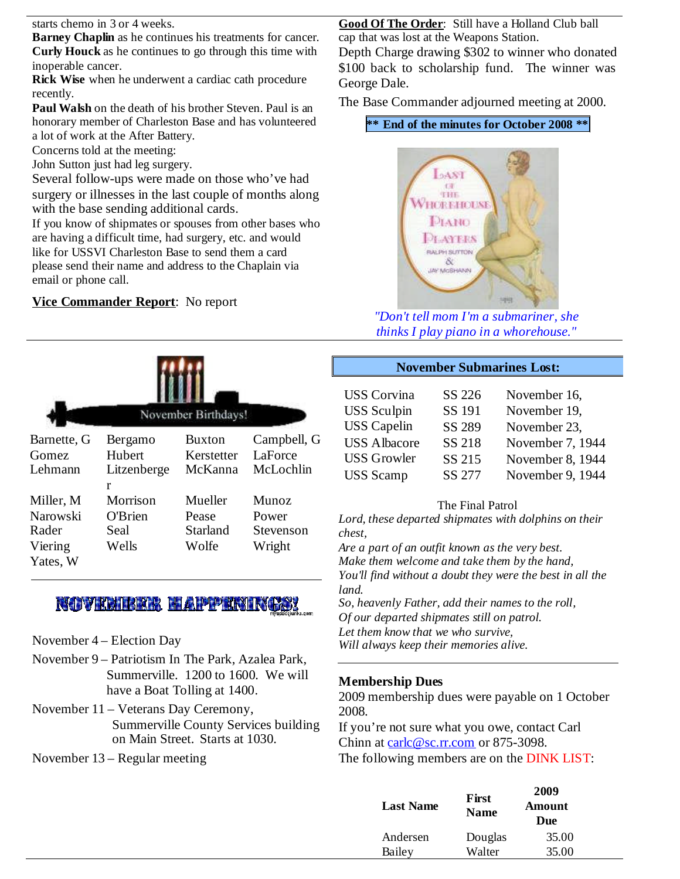starts chemo in 3 or 4 weeks.

**Barney Chaplin** as he continues his treatments for cancer. **Curly Houck** as he continues to go through this time with inoperable cancer.

**Rick Wise** when he underwent a cardiac cath procedure recently.

**Paul Walsh** on the death of his brother Steven. Paul is an honorary member of Charleston Base and has volunteered a lot of work at the After Battery.

Concerns told at the meeting:

John Sutton just had leg surgery.

Several follow-ups were made on those who've had surgery or illnesses in the last couple of months along with the base sending additional cards.

If you know of shipmates or spouses from other bases who are having a difficult time, had surgery, etc. and would like for USSVI Charleston Base to send them a card please send their name and address to the Chaplain via email or phone call.

## **Vice Commander Report**: No report

|                      |                   | November Birthdays!         |                        |                |
|----------------------|-------------------|-----------------------------|------------------------|----------------|
| Barnette, G<br>Gomez | Bergamo<br>Hubert | <b>Buxton</b><br>Kerstetter | Campbell, G<br>LaForce |                |
| Lehmann              | Litzenberge<br>r  | McKanna                     | McLochlin              |                |
| Miller, M            | Morrison          | Mueller                     | Munoz                  |                |
| Narowski             | <b>O'Brien</b>    | Pease                       | Power                  | L              |
| Rader                | Seal              | Starland                    | Stevenson              | $\overline{c}$ |
| Viering<br>Yates, W  | Wells             | Wolfe                       | Wright                 | A<br>N.        |

# **NOVEMBER HAPPENINGS!**

- November 4 Election Day
- November 9 Patriotism In The Park, Azalea Park, Summerville. 1200 to 1600. We will have a Boat Tolling at 1400.
- November 11 Veterans Day Ceremony, Summerville County Services building on Main Street. Starts at 1030.
- November 13 Regular meeting

**Good Of The Order**: Still have a Holland Club ball cap that was lost at the Weapons Station.

Depth Charge drawing \$302 to winner who donated \$100 back to scholarship fund. The winner was George Dale.

The Base Commander adjourned meeting at 2000.

## **\*\* End of the minutes for October 2008 \*\***



*"Don't tell mom I'm a submariner, she thinks I play piano in a whorehouse."*

#### **November Submarines Lost:**

| <b>USS Corvina</b>  | SS 226        | November 16,     |
|---------------------|---------------|------------------|
| <b>USS</b> Sculpin  | SS 191        | November 19,     |
| <b>USS</b> Capelin  | <b>SS 289</b> | November 23,     |
| <b>USS Albacore</b> | SS 218        | November 7, 1944 |
| <b>USS Growler</b>  | SS 215        | November 8, 1944 |
| <b>USS</b> Scamp    | SS 277        | November 9, 1944 |

#### The Final Patrol

*Lord, these departed shipmates with dolphins on their chest,*

*Are a part of an outfit known as the very best. Make them welcome and take them by the hand, You'll find without a doubt they were the best in all the land.*

*So, heavenly Father, add their names to the roll, Of our departed shipmates still on patrol. Let them know that we who survive, Will always keep their memories alive.*

#### **Membership Dues**

2009 membership dues were payable on 1 October 2008.

If you're not sure what you owe, contact Carl Chinn at carlc@sc.rr.com or 875-3098.

The following members are on the DINK LIST:

| <b>Last Name</b> | First<br><b>Name</b> | 2009<br>Amount<br>Due |
|------------------|----------------------|-----------------------|
| Andersen         | Douglas              | 35.00                 |
| Bailey           | Walter               | 35.00                 |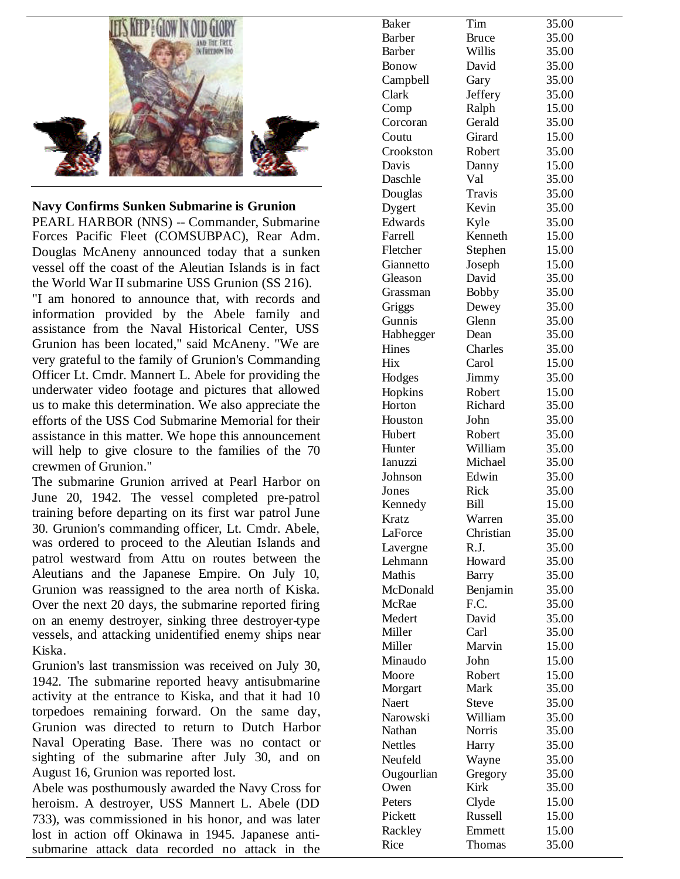

**Navy Confirms Sunken Submarine is Grunion**

PEARL HARBOR (NNS) -- Commander, Submarine Forces Pacific Fleet (COMSUBPAC), Rear Adm. Douglas McAneny announced today that a sunken vessel off the coast of the Aleutian Islands is in fact the World War II submarine USS Grunion (SS 216). "I am honored to announce that, with records and information provided by the Abele family and assistance from the Naval Historical Center, USS

Grunion has been located," said McAneny. "We are very grateful to the family of Grunion's Commanding Officer Lt. Cmdr. Mannert L. Abele for providing the underwater video footage and pictures that allowed us to make this determination. We also appreciate the efforts of the USS Cod Submarine Memorial for their assistance in this matter. We hope this announcement will help to give closure to the families of the 70 crewmen of Grunion."

The submarine Grunion arrived at Pearl Harbor on June 20, 1942. The vessel completed pre -patrol training before departing on its first war patrol June 30. Grunion's commanding officer, Lt. Cmdr. Abele, was ordered to proceed to the Aleutian Islands and patrol westward from Attu on routes between the Aleutians and the Japanese Empire. On July 10, Grunion was reassigned to the area north of Kiska. Over the next 20 days, the submarine reported firing on an enemy destroyer, sinking three destroyer -type vessels, and attacking unidentified enemy ships near Kiska.

Grunion's last transmission was received on July 30, 1942. The submarine reported heavy antisubmarine activity at the entrance to Kiska, and that it had 10 torpedoes remaining forward. On the same day, Grunion was directed to return to Dutch Harbor Naval Operating Base. There was no contact or sighting of the submarine after July 30, and on August 16, Grunion was reported lost.

Abele was posthumously awarded the Navy Cross for heroism. A destroyer, USS Mannert L. Abele (DD 733), was commissioned in his honor, and was later lost in action off Okinawa in 1945. Japanese antisubmarine attack data recorded no attack in the

| <b>Baker</b>   | Tim           | 35.00 |
|----------------|---------------|-------|
| <b>Barber</b>  | <b>Bruce</b>  | 35.00 |
| Barber         | Willis        | 35.00 |
| Bonow          | David         | 35.00 |
| Campbell       | Gary          | 35.00 |
| Clark          | Jeffery       | 35.00 |
| Comp           | Ralph         | 15.00 |
| Corcoran       | Gerald        | 35.00 |
| Coutu          | Girard        | 15.00 |
| Crookston      | Robert        | 35.00 |
| Davis          | Danny         | 15.00 |
| Daschle        | Val           | 35.00 |
| Douglas        | Travis        | 35.00 |
| Dygert         | Kevin         | 35.00 |
| Edwards        | Kyle          | 35.00 |
| Farrell        | Kenneth       | 15.00 |
| Fletcher       | Stephen       | 15.00 |
| Giannetto      | Joseph        | 15.00 |
| Gleason        | David         | 35.00 |
| Grassman       | <b>Bobby</b>  | 35.00 |
|                | Dewey         | 35.00 |
| Griggs         |               |       |
| Gunnis         | Glenn<br>Dean | 35.00 |
| Habhegger      |               | 35.00 |
| Hines          | Charles       | 35.00 |
| Hix            | Carol         | 15.00 |
| Hodges         | Jimmy         | 35.00 |
| Hopkins        | Robert        | 15.00 |
| Horton         | Richard       | 35.00 |
| Houston        | John          | 35.00 |
| Hubert         | Robert        | 35.00 |
| Hunter         | William       | 35.00 |
| Ianuzzi        | Michael       | 35.00 |
| Johnson        | Edwin         | 35.00 |
| Jones          | Rick          | 35.00 |
| Kennedy        | <b>Bill</b>   | 15.00 |
| Kratz          | Warren        | 35.00 |
| LaForce        | Christian     | 35.00 |
| Lavergne       | R.J.          | 35.00 |
| Lehmann        | Howard        | 35.00 |
| Mathis         | <b>Barry</b>  | 35.00 |
| McDonald       | Benjamin      | 35.00 |
| McRae          | F.C.          | 35.00 |
| Medert         | David         | 35.00 |
| Miller         | Carl          | 35.00 |
| Miller         | Marvin        | 15.00 |
| Minaudo        | John          | 15.00 |
| Moore          | Robert        | 15.00 |
| Morgart        | Mark          | 35.00 |
| Naert          | <b>Steve</b>  | 35.00 |
| Narowski       | William       | 35.00 |
| Nathan         | Norris        | 35.00 |
|                |               |       |
| <b>Nettles</b> | Harry         | 35.00 |
| Neufeld        | Wayne         | 35.00 |
| Ougourlian     | Gregory       | 35.00 |
| Owen           | Kirk          | 35.00 |
| Peters         | Clyde         | 15.00 |
| Pickett        | Russell       | 15.00 |
| Rackley        | Emmett        | 15.00 |
| Rice           | Thomas        | 35.00 |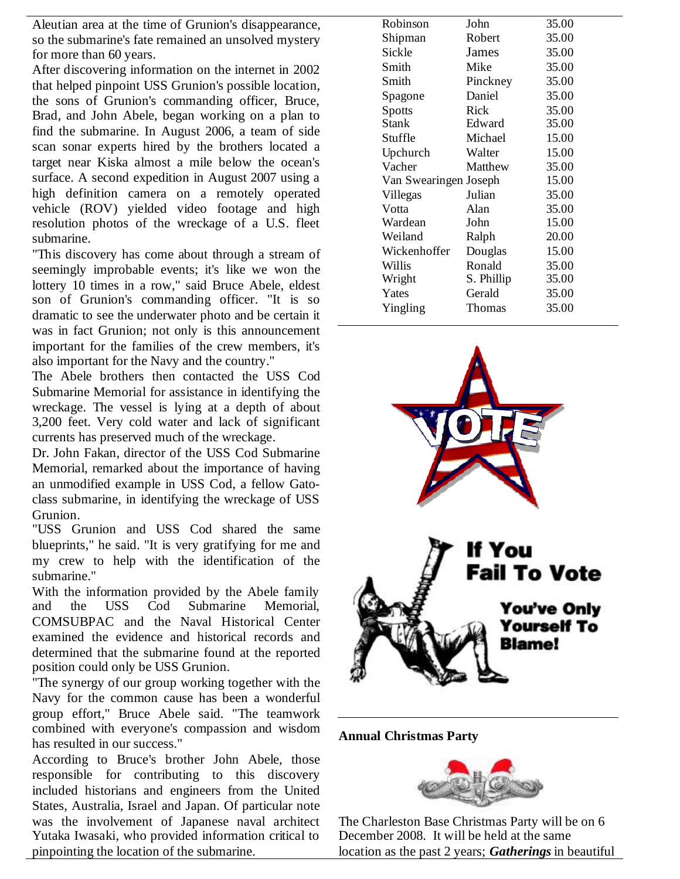Aleutian area at the time of Grunion's disappearance, so the submarine's fate remained an unsolved mystery for more than 60 years.

After discovering information on the internet in 2002 that helped pinpoint USS Grunion's possible location, the sons of Grunion's commanding officer, Bruce, Brad, and John Abele, began working on a plan to find the submarine. In August 2006, a team of side scan sonar experts hired by the brothers located a target near Kiska almost a mile below the ocean's surface. A second expedition in August 2007 using a high definition camera on a remotely operated vehicle (ROV) yielded video footage and high resolution photos of the wreckage of a U.S. fleet submarine.

"This discovery has come about through a stream of seemingly improbable events; it's like we won the lottery 10 times in a row," said Bruce Abele, eldest son of Grunion's commanding officer. "It is so dramatic to see the underwater photo and be certain it was in fact Grunion; not only is this announcement important for the families of the crew members, it's also important for the Navy and the country."

The Abele brothers then contacted the USS Cod Submarine Memorial for assistance in identifying the wreckage. The vessel is lying at a depth of about 3,200 feet. Very cold water and lack of significant currents has preserved much of the wreckage.

Dr. John Fakan, director of the USS Cod Submarine Memorial, remarked about the importance of having an unmodified example in USS Cod, a fellow Gatoclass submarine, in identifying the wreckage of USS Grunion.

"USS Grunion and USS Cod shared the same blueprints," he said. "It is very gratifying for me and my crew to help with the identification of the submarine."

With the information provided by the Abele family<br>and the USS Cod Submarine Memorial. and the USS Cod Submarine Memorial, COMSUBPAC and the Naval Historical Center examined the evidence and historical records and determined that the submarine found at the reported position could only be USS Grunion.

"The synergy of our group working together with the Navy for the common cause has been a wonderful group effort," Bruce Abele said. "The teamwork combined with everyone's compassion and wisdom has resulted in our success."

According to Bruce's brother John Abele, those responsible for contributing to this discovery included historians and engineers from the United States, Australia, Israel and Japan. Of particular note was the involvement of Japanese naval architect Yutaka Iwasaki, who provided information critical to pinpointing the location of the submarine.

| Robinson              | John          | 35.00 |
|-----------------------|---------------|-------|
| Shipman               | Robert        | 35.00 |
| Sickle                | James         | 35.00 |
| Smith                 | Mike          | 35.00 |
| Smith                 | Pinckney      | 35.00 |
| Spagone               | Daniel        | 35.00 |
| <b>Spotts</b>         | Rick          | 35.00 |
| <b>Stank</b>          | Edward        | 35.00 |
| Stuffle               | Michael       | 15.00 |
| Upchurch              | Walter        | 15.00 |
| Vacher                | Matthew       | 35.00 |
| Van Swearingen Joseph |               | 15.00 |
| Villegas              | Julian        | 35.00 |
| Votta                 | Alan          | 35.00 |
| Wardean               | John          | 15.00 |
| Weiland               | Ralph         | 20.00 |
| Wickenhoffer          | Douglas       | 15.00 |
| Willis                | Ronald        | 35.00 |
| Wright                | S. Phillip    | 35.00 |
| Yates                 | Gerald        | 35.00 |
| Yingling              | <b>Thomas</b> | 35.00 |
|                       |               |       |



**Annual Christmas Party**



The Charleston Base Christmas Party will be on 6 December 2008. It will be held at the same location as the past 2 years; *Gatherings* in beautiful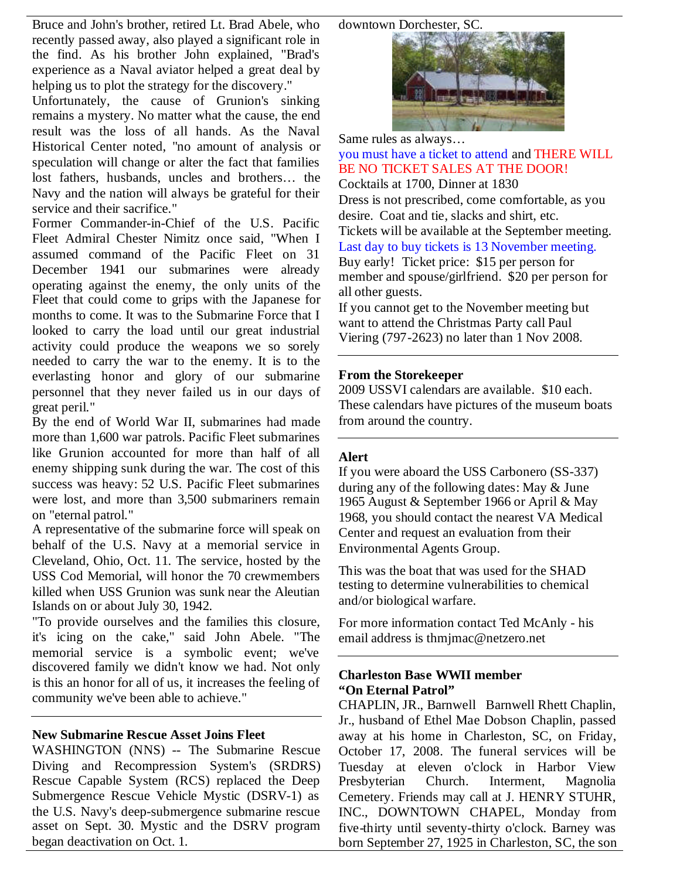downtown Dorchester, SC.

Bruce and John's brother, retired Lt. Brad Abele, who recently passed away, also played a significant role in the find. As his brother John explained, "Brad's experience as a Naval aviator helped a great deal by helping us to plot the strategy for the discovery."

Unfortunately, the cause of Grunion's sinking remains a mystery. No matter what the cause, the end result was the loss of all hands. As the Naval Historical Center noted, "no amount of analysis or speculation will change or alter the fact that families lost fathers, husbands, uncles and brothers… the Navy and the nation will always be grateful for their service and their sacrifice."

Former Commander-in-Chief of the U.S. Pacific Fleet Admiral Chester Nimitz once said, "When I assumed command of the Pacific Fleet on 31 December 1941 our submarines were already operating against the enemy, the only units of the Fleet that could come to grips with the Japanese for months to come. It was to the Submarine Force that I looked to carry the load until our great industrial activity could produce the weapons we so sorely needed to carry the war to the enemy. It is to the everlasting honor and glory of our submarine personnel that they never failed us in our days of great peril."

By the end of World War II, submarines had made more than 1,600 war patrols. Pacific Fleet submarines like Grunion accounted for more than half of all enemy shipping sunk during the war. The cost of this success was heavy: 52 U.S. Pacific Fleet submarines were lost, and more than 3,500 submariners remain on "eternal patrol."

A representative of the submarine force will speak on behalf of the U.S. Navy at a memorial service in Cleveland, Ohio, Oct. 11. The service, hosted by the USS Cod Memorial, will honor the 70 crewmembers killed when USS Grunion was sunk near the Aleutian Islands on or about July 30, 1942.

"To provide ourselves and the families this closure, it's icing on the cake," said John Abele. "The memorial service is a symbolic event; we've discovered family we didn't know we had. Not only is this an honor for all of us, it increases the feeling of community we've been able to achieve."

# **New Submarine Rescue Asset Joins Fleet**

WASHINGTON (NNS) -- The Submarine Rescue Diving and Recompression System's (SRDRS) Rescue Capable System (RCS) replaced the Deep Submergence Rescue Vehicle Mystic (DSRV-1) as the U.S. Navy's deep-submergence submarine rescue asset on Sept. 30. Mystic and the DSRV program began deactivation on Oct. 1.



Same rules as always…

you must have a ticket to attend and THERE WILL BE NO TICKET SALES AT THE DOOR! Cocktails at 1700, Dinner at 1830 Dress is not prescribed, come comfortable, as you desire. Coat and tie, slacks and shirt, etc. Tickets will be available at the September meeting. Last day to buy tickets is 13 November meeting. Buy early! Ticket price: \$15 per person for member and spouse/girlfriend. \$20 per person for all other guests.

If you cannot get to the November meeting but want to attend the Christmas Party call Paul Viering (797-2623) no later than 1 Nov 2008.

## **From the Storekeeper**

2009 USSVI calendars are available. \$10 each. These calendars have pictures of the museum boats from around the country.

## **Alert**

If you were aboard the USS Carbonero (SS-337) during any of the following dates: May & June 1965 August & September 1966 or April & May 1968, you should contact the nearest VA Medical Center and request an evaluation from their Environmental Agents Group.

This was the boat that was used for the SHAD testing to determine vulnerabilities to chemical and/or biological warfare.

For more information contact Ted McAnly - his email address is thmjmac@netzero.net

## **Charleston Base WWII member "On Eternal Patrol"**

CHAPLIN, JR., Barnwell Barnwell Rhett Chaplin, Jr., husband of Ethel Mae Dobson Chaplin, passed away at his home in Charleston, SC, on Friday, October 17, 2008. The funeral services will be Tuesday at eleven o'clock in Harbor View Presbyterian Church. Interment, Magnolia Cemetery. Friends may call at J. HENRY STUHR, INC., DOWNTOWN CHAPEL, Monday from five-thirty until seventy-thirty o'clock. Barney was born September 27, 1925 in Charleston, SC, the son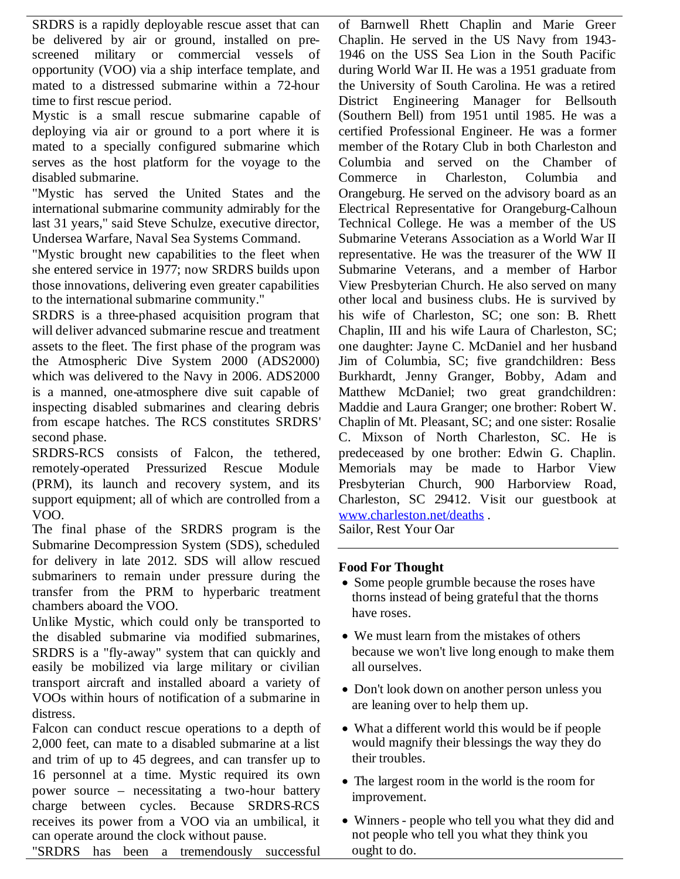SRDRS is a rapidly deployable rescue asset that can be delivered by air or ground, installed on prescreened military or commercial vessels of opportunity (VOO) via a ship interface template, and mated to a distressed submarine within a 72-hour time to first rescue period.

Mystic is a small rescue submarine capable of deploying via air or ground to a port where it is mated to a specially configured submarine which serves as the host platform for the voyage to the disabled submarine.

"Mystic has served the United States and the international submarine community admirably for the last 31 years," said Steve Schulze, executive director, Undersea Warfare, Naval Sea Systems Command.

"Mystic brought new capabilities to the fleet when she entered service in 1977; now SRDRS builds upon those innovations, delivering even greater capabilities to the international submarine community."

SRDRS is a three-phased acquisition program that will deliver advanced submarine rescue and treatment assets to the fleet. The first phase of the program was the Atmospheric Dive System 2000 (ADS2000) which was delivered to the Navy in 2006. ADS2000 is a manned, one-atmosphere dive suit capable of inspecting disabled submarines and clearing debris from escape hatches. The RCS constitutes SRDRS' second phase.

SRDRS-RCS consists of Falcon, the tethered, remotely-operated Pressurized Rescue Module (PRM), its launch and recovery system, and its support equipment; all of which are controlled from a VOO.

The final phase of the SRDRS program is the Submarine Decompression System (SDS), scheduled for delivery in late 2012. SDS will allow rescued submariners to remain under pressure during the transfer from the PRM to hyperbaric treatment chambers aboard the VOO.

Unlike Mystic, which could only be transported to the disabled submarine via modified submarines, SRDRS is a "fly-away" system that can quickly and easily be mobilized via large military or civilian transport aircraft and installed aboard a variety of VOOs within hours of notification of a submarine in distress.

Falcon can conduct rescue operations to a depth of 2,000 feet, can mate to a disabled submarine at a list and trim of up to 45 degrees, and can transfer up to 16 personnel at a time. Mystic required its own power source – necessitating a two-hour battery charge between cycles. Because SRDRS-RCS receives its power from a VOO via an umbilical, it can operate around the clock without pause.

"SRDRS has been a tremendously successful

of Barnwell Rhett Chaplin and Marie Greer Chaplin. He served in the US Navy from 1943- 1946 on the USS Sea Lion in the South Pacific during World War II. He was a 1951 graduate from the University of South Carolina. He was a retired District Engineering Manager for Bellsouth (Southern Bell) from 1951 until 1985. He was a certified Professional Engineer. He was a former member of the Rotary Club in both Charleston and Columbia and served on the Chamber of Commerce in Charleston, Columbia and Orangeburg. He served on the advisory board as an Electrical Representative for Orangeburg-Calhoun Technical College. He was a member of the US Submarine Veterans Association as a World War II representative. He was the treasurer of the WW II Submarine Veterans, and a member of Harbor View Presbyterian Church. He also served on many other local and business clubs. He is survived by his wife of Charleston, SC; one son: B. Rhett Chaplin, III and his wife Laura of Charleston, SC; one daughter: Jayne C. McDaniel and her husband Jim of Columbia, SC; five grandchildren: Bess Burkhardt, Jenny Granger, Bobby, Adam and Matthew McDaniel; two great grandchildren: Maddie and Laura Granger; one brother: Robert W. Chaplin of Mt. Pleasant, SC; and one sister: Rosalie C. Mixson of North Charleston, SC. He is predeceased by one brother: Edwin G. Chaplin. Memorials may be made to Harbor View Presbyterian Church, 900 Harborview Road, Charleston, SC 29412. Visit our guestbook at www.charleston.net/deaths . Sailor, Rest Your Oar

## **Food For Thought**

- Some people grumble because the roses have thorns instead of being grateful that the thorns have roses.
- We must learn from the mistakes of others because we won't live long enough to make them all ourselves.
- Don't look down on another person unless you are leaning over to help them up.
- What a different world this would be if people would magnify their blessings the way they do their troubles.
- The largest room in the world is the room for improvement.
- Winners- people who tell you what they did and not people who tell you what they think you ought to do.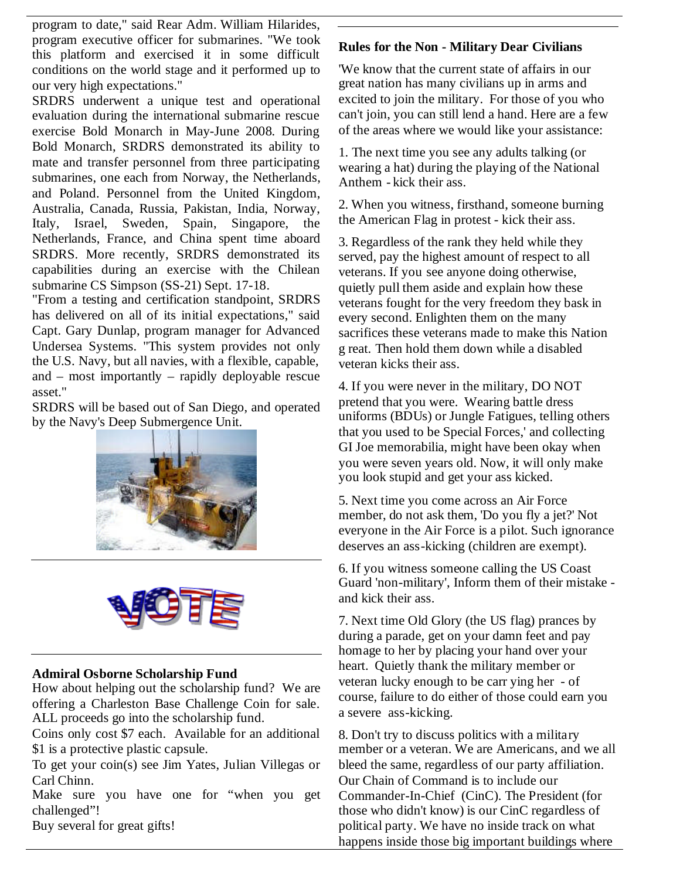program to date," said Rear Adm. William Hilarides, program executive officer for submarines. "We took this platform and exercised it in some difficult conditions on the world stage and it performed up to our very high expectations."

SRDRS underwent a unique test and operational evaluation during the international submarine rescue exercise Bold Monarch in May-June 2008. During Bold Monarch, SRDRS demonstrated its ability to mate and transfer personnel from three participating submarines, one each from Norway, the Netherlands, and Poland. Personnel from the United Kingdom, Australia, Canada, Russia, Pakistan, India, Norway, Italy, Israel, Sweden, Spain, Singapore, the Netherlands, France, and China spent time aboard SRDRS. More recently, SRDRS demonstrated its capabilities during an exercise with the Chilean submarine CS Simpson (SS-21) Sept. 17-18.

"From a testing and certification standpoint, SRDRS has delivered on all of its initial expectations," said Capt. Gary Dunlap, program manager for Advanced Undersea Systems. "This system provides not only the U.S. Navy, but all navies, with a flexible, capable, and – most importantly – rapidly deployable rescue asset."

SRDRS will be based out of San Diego, and operated by the Navy's Deep Submergence Unit.





## **Admiral Osborne Scholarship Fund**

How about helping out the scholarship fund? We are offering a Charleston Base Challenge Coin for sale. ALL proceeds go into the scholarship fund.

Coins only cost \$7 each. Available for an additional \$1 is a protective plastic capsule.

To get your coin(s) see Jim Yates, Julian Villegas or Carl Chinn.

Make sure you have one for "when you get challenged"!

Buy several for great gifts!

## **Rules for the Non - Military Dear Civilians**

'We know that the current state of affairs in our great nation has many civilians up in arms and excited to join the military. For those of you who can't join, you can still lend a hand. Here are a few of the areas where we would like your assistance:

1. The next time you see any adults talking (or wearing a hat) during the playing of the National Anthem - kick their ass.

2. When you witness, firsthand, someone burning the American Flag in protest - kick their ass.

3. Regardless of the rank they held while they served, pay the highest amount of respect to all veterans. If you see anyone doing otherwise, quietly pull them aside and explain how these veterans fought for the very freedom they bask in every second. Enlighten them on the many sacrifices these veterans made to make this Nation g reat. Then hold them down while a disabled veteran kicks their ass.

4. If you were never in the military, DO NOT pretend that you were. Wearing battle dress uniforms (BDUs) or Jungle Fatigues, telling others that you used to be Special Forces,' and collecting GI Joe memorabilia, might have been okay when you were seven years old. Now, it will only make you look stupid and get your ass kicked.

5. Next time you come across an Air Force member, do not ask them, 'Do you fly a jet?' Not everyone in the Air Force is a pilot. Such ignorance deserves an ass-kicking (children are exempt).

6. If you witness someone calling the US Coast Guard 'non-military', Inform them of their mistake and kick their ass.

7. Next time Old Glory (the US flag) prances by during a parade, get on your damn feet and pay homage to her by placing your hand over your heart. Quietly thank the military member or veteran lucky enough to be carr ying her - of course, failure to do either of those could earn you a severe ass-kicking.

8. Don't try to discuss politics with a military member or a veteran. We are Americans, and we all bleed the same, regardless of our party affiliation. Our Chain of Command is to include our Commander-In-Chief (CinC). The President (for those who didn't know) is our CinC regardless of political party. We have no inside track on what happens inside those big important buildings where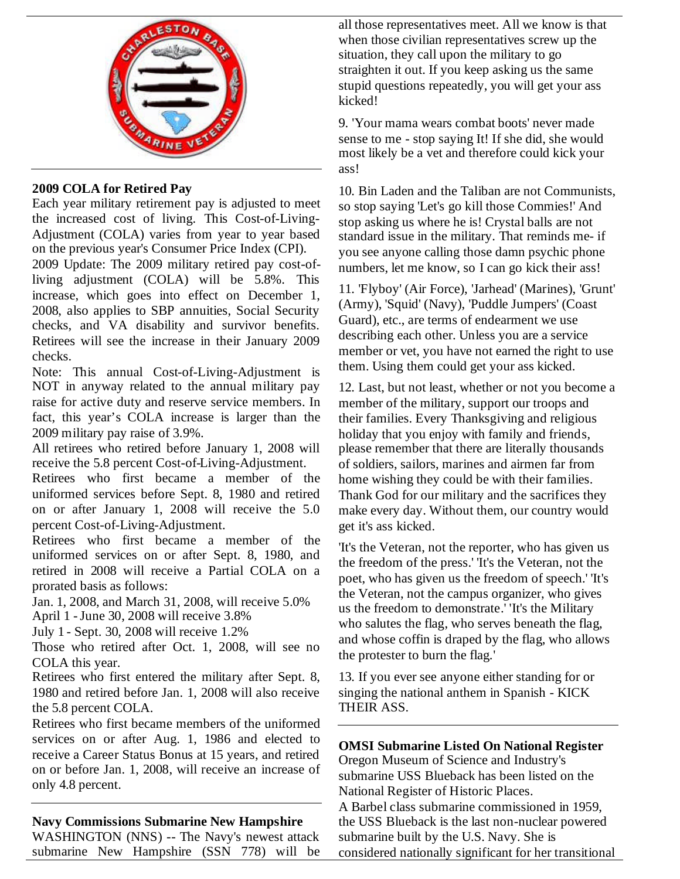

# **2009 COLA for Retired Pay**

Each year military retirement pay is adjusted to meet the increased cost of living. This Cost-of-Living-Adjustment (COLA) varies from year to year based on the previous year's Consumer Price Index (CPI).

2009 Update: The 2009 military retired pay cost-ofliving adjustment (COLA) will be 5.8%. This increase, which goes into effect on December 1, 2008, also applies to SBP annuities, Social Security checks, and VA disability and survivor benefits. Retirees will see the increase in their January 2009 checks.

Note: This annual Cost-of-Living-Adjustment is NOT in anyway related to the annual military pay raise for active duty and reserve service members. In fact, this year's COLA increase is larger than the 2009 military pay raise of 3.9%.

All retirees who retired before January 1, 2008 will receive the 5.8 percent Cost-of-Living-Adjustment.

Retirees who first became a member of the uniformed services before Sept. 8, 1980 and retired on or after January 1, 2008 will receive the 5.0 percent Cost-of-Living-Adjustment.

Retirees who first became a member of the uniformed services on or after Sept. 8, 1980, and retired in 2008 will receive a Partial COLA on a prorated basis as follows:

Jan. 1, 2008, and March 31, 2008, will receive 5.0% April 1 -June 30, 2008 will receive 3.8%

July 1 - Sept. 30, 2008 will receive 1.2%

Those who retired after Oct. 1, 2008, will see no COLA this year.

Retirees who first entered the military after Sept. 8, 1980 and retired before Jan. 1, 2008 will also receive the 5.8 percent COLA.

Retirees who first became members of the uniformed services on or after Aug. 1, 1986 and elected to receive a Career Status Bonus at 15 years, and retired on or before Jan. 1, 2008, will receive an increase of only 4.8 percent.

# **Navy Commissions Submarine New Hampshire**

WASHINGTON (NNS) -- The Navy's newest attack submarine New Hampshire (SSN 778) will be

all those representatives meet. All we know is that when those civilian representatives screw up the situation, they call upon the military to go straighten it out. If you keep asking us the same stupid questions repeatedly, you will get your ass kicked!

9. 'Your mama wears combat boots' never made sense to me - stop saying It! If she did, she would most likely be a vet and therefore could kick your ass!

10. Bin Laden and the Taliban are not Communists, so stop saying 'Let's go kill those Commies!' And stop asking us where he is! Crystal balls are not standard issue in the military. That reminds me- if you see anyone calling those damn psychic phone numbers, let me know, so I can go kick their ass!

11. 'Flyboy' (Air Force), 'Jarhead' (Marines), 'Grunt' (Army), 'Squid' (Navy), 'Puddle Jumpers' (Coast Guard), etc., are terms of endearment we use describing each other. Unless you are a service member or vet, you have not earned the right to use them. Using them could get your ass kicked.

12. Last, but not least, whether or not you become a member of the military, support our troops and their families. Every Thanksgiving and religious holiday that you enjoy with family and friends, please remember that there are literally thousands of soldiers, sailors, marines and airmen far from home wishing they could be with their families. Thank God for our military and the sacrifices they make every day. Without them, our country would get it's ass kicked.

'It's the Veteran, not the reporter, who has given us the freedom of the press.' 'It's the Veteran, not the poet, who has given us the freedom of speech.' 'It's the Veteran, not the campus organizer, who gives us the freedom to demonstrate.' 'It's the Military who salutes the flag, who serves beneath the flag, and whose coffin is draped by the flag, who allows the protester to burn the flag.'

13. If you ever see anyone either standing for or singing the national anthem in Spanish - KICK THEIR ASS.

# **OMSI Submarine Listed On National Register**

Oregon Museum of Science and Industry's submarine USS Blueback has been listed on the National Register of Historic Places.

A Barbel class submarine commissioned in 1959, the USS Blueback is the last non-nuclear powered submarine built by the U.S. Navy. She is considered nationally significant for her transitional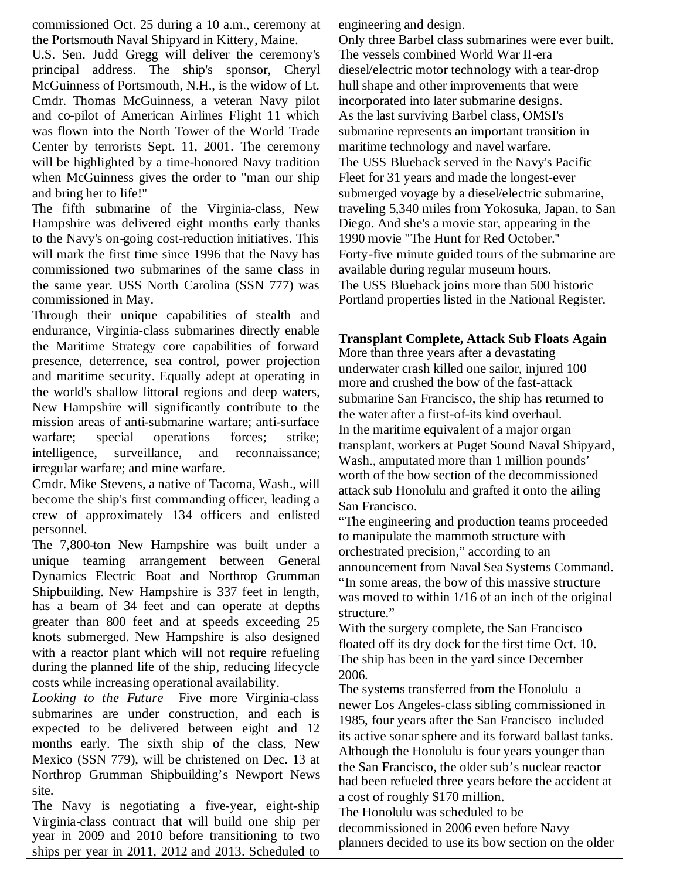commissioned Oct. 25 during a 10 a.m., ceremony at the Portsmouth Naval Shipyard in Kittery, Maine.

U.S. Sen. Judd Gregg will deliver the ceremony's principal address. The ship's sponsor, Cheryl McGuinness of Portsmouth, N.H., is the widow of Lt. Cmdr. Thomas McGuinness, a veteran Navy pilot and co-pilot of American Airlines Flight 11 which was flown into the North Tower of the World Trade Center by terrorists Sept. 11, 2001. The ceremony will be highlighted by a time-honored Navy tradition when McGuinness gives the order to "man our ship and bring her to life!"

The fifth submarine of the Virginia-class, New Hampshire was delivered eight months early thanks to the Navy's on-going cost-reduction initiatives. This will mark the first time since 1996 that the Navy has commissioned two submarines of the same class in the same year. USS North Carolina (SSN 777) was commissioned in May.

Through their unique capabilities of stealth and endurance, Virginia-class submarines directly enable the Maritime Strategy core capabilities of forward presence, deterrence, sea control, power projection and maritime security. Equally adept at operating in the world's shallow littoral regions and deep waters, New Hampshire will significantly contribute to the mission areas of anti-submarine warfare; anti-surface warfare; special operations forces; strike; intelligence, surveillance, and reconnaissance; irregular warfare; and mine warfare.

Cmdr. Mike Stevens, a native of Tacoma, Wash., will become the ship's first commanding officer, leading a crew of approximately 134 officers and enlisted personnel.

The 7,800-ton New Hampshire was built under a unique teaming arrangement between General Dynamics Electric Boat and Northrop Grumman Shipbuilding. New Hampshire is 337 feet in length, has a beam of 34 feet and can operate at depths greater than 800 feet and at speeds exceeding 25 knots submerged. New Hampshire is also designed with a reactor plant which will not require refueling during the planned life of the ship, reducing lifecycle costs while increasing operational availability.

*Looking to the Future* Five more Virginia-class submarines are under construction, and each is expected to be delivered between eight and 12 months early. The sixth ship of the class, New Mexico (SSN 779), will be christened on Dec. 13 at Northrop Grumman Shipbuilding's Newport News site.

The Navy is negotiating a five-year, eight-ship Virginia-class contract that will build one ship per year in 2009 and 2010 before transitioning to two ships per year in 2011, 2012 and 2013. Scheduled to engineering and design.

Only three Barbel class submarines were ever built. The vessels combined World War II-era diesel/electric motor technology with a tear-drop hull shape and other improvements that were incorporated into later submarine designs. As the last surviving Barbel class, OMSI's submarine represents an important transition in maritime technology and navel warfare. The USS Blueback served in the Navy's Pacific Fleet for 31 years and made the longest-ever submerged voyage by a diesel/electric submarine, traveling 5,340 miles from Yokosuka, Japan, to San Diego. And she's a movie star, appearing in the 1990 movie "The Hunt for Red October.'' Forty-five minute guided tours of the submarine are available during regular museum hours. The USS Blueback joins more than 500 historic Portland properties listed in the National Register.

# **Transplant Complete, Attack Sub Floats Again**

More than three years after a devastating underwater crash killed one sailor, injured 100 more and crushed the bow of the fast-attack submarine San Francisco, the ship has returned to the water after a first-of-its kind overhaul. In the maritime equivalent of a major organ transplant, workers at Puget Sound Naval Shipyard, Wash., amputated more than 1 million pounds' worth of the bow section of the decommissioned attack sub Honolulu and grafted it onto the ailing San Francisco.

"The engineering and production teams proceeded to manipulate the mammoth structure with orchestrated precision," according to an announcement from Naval Sea Systems Command. "In some areas, the bow of this massive structure was moved to within 1/16 of an inch of the original structure."

With the surgery complete, the San Francisco floated off its dry dock for the first time Oct. 10. The ship has been in the yard since December 2006.

The systems transferred from the Honolulu a newer Los Angeles-class sibling commissioned in 1985, four years after the San Francisco included its active sonar sphere and its forward ballast tanks. Although the Honolulu is four years younger than the San Francisco, the older sub's nuclear reactor had been refueled three years before the accident at a cost of roughly \$170 million.

The Honolulu was scheduled to be decommissioned in 2006 even before Navy planners decided to use its bow section on the older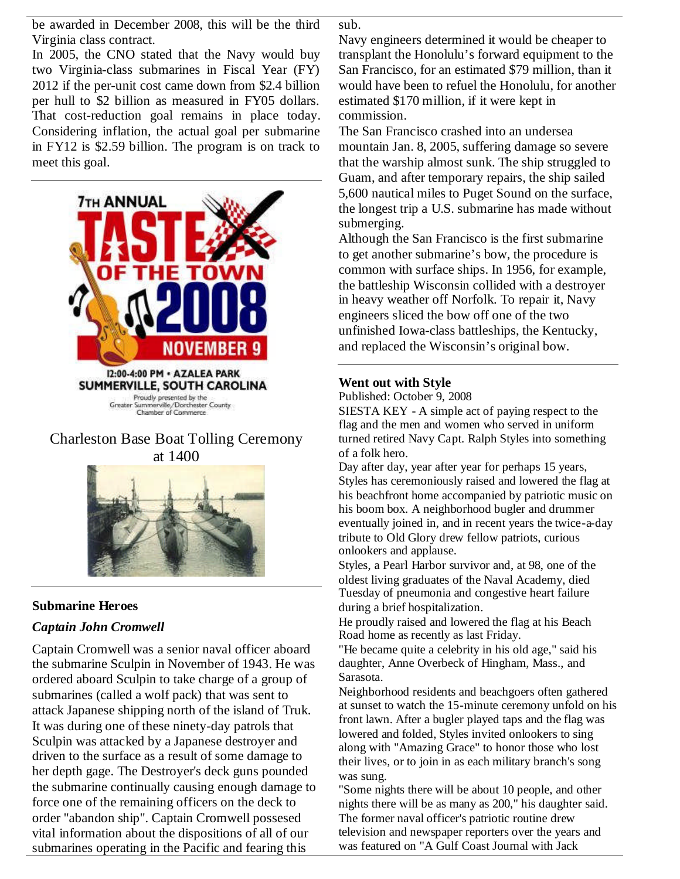be awarded in December 2008, this will be the third Virginia class contract.

In 2005, the CNO stated that the Navy would buy two Virginia-class submarines in Fiscal Year (FY) 2012 if the per-unit cost came down from \$2.4 billion per hull to \$2 billion as measured in FY05 dollars. That cost-reduction goal remains in place today. Considering inflation, the actual goal per submarine in FY12 is \$2.59 billion. The program is on track to meet this goal.



# Charleston Base Boat Tolling Ceremony



# **Submarine Heroes**

# *Captain John Cromwell*

Captain Cromwell was a senior naval officer aboard the submarine Sculpin in November of 1943. He was ordered aboard Sculpin to take charge of a group of submarines (called a wolf pack) that was sent to attack Japanese shipping north of the island of Truk. It was during one of these ninety-day patrols that Sculpin was attacked by a Japanese destroyer and driven to the surface as a result of some damage to her depth gage. The Destroyer's deck guns pounded the submarine continually causing enough damage to force one of the remaining officers on the deck to order "abandon ship". Captain Cromwell possesed vital information about the dispositions of all of our submarines operating in the Pacific and fearing this

sub.

Navy engineers determined it would be cheaper to transplant the Honolulu's forward equipment to the San Francisco, for an estimated \$79 million, than it would have been to refuel the Honolulu, for another estimated \$170 million, if it were kept in commission.

The San Francisco crashed into an undersea mountain Jan. 8, 2005, suffering damage so severe that the warship almost sunk. The ship struggled to Guam, and after temporary repairs, the ship sailed 5,600 nautical miles to Puget Sound on the surface, the longest trip a U.S. submarine has made without submerging.

Although the San Francisco is the first submarine to get another submarine's bow, the procedure is common with surface ships. In 1956, for example, the battleship Wisconsin collided with a destroyer in heavy weather off Norfolk. To repair it, Navy engineers sliced the bow off one of the two unfinished Iowa-class battleships, the Kentucky, and replaced the Wisconsin's original bow.

#### **Went out with Style**

Published: October 9, 2008

SIESTA KEY - A simple act of paying respect to the flag and the men and women who served in uniform turned retired Navy Capt. Ralph Styles into something of a folk hero.

Day after day, year after year for perhaps 15 years, Styles has ceremoniously raised and lowered the flag at his beachfront home accompanied by patriotic music on his boom box. A neighborhood bugler and drummer eventually joined in, and in recent years the twice-a-day tribute to Old Glory drew fellow patriots, curious onlookers and applause.

Styles, a Pearl Harbor survivor and, at 98, one of the oldest living graduates of the Naval Academy, died Tuesday of pneumonia and congestive heart failure during a brief hospitalization.

He proudly raised and lowered the flag at his Beach Road home as recently as last Friday.

"He became quite a celebrity in his old age," said his daughter, Anne Overbeck of Hingham, Mass., and Sarasota.

Neighborhood residents and beachgoers often gathered at sunset to watch the 15-minute ceremony unfold on his front lawn. After a bugler played taps and the flag was lowered and folded, Styles invited onlookers to sing along with "Amazing Grace" to honor those who lost their lives, or to join in as each military branch's song was sung.

"Some nights there will be about 10 people, and other nights there will be as many as 200," his daughter said. The former naval officer's patriotic routine drew television and newspaper reporters over the years and was featured on "A Gulf Coast Journal with Jack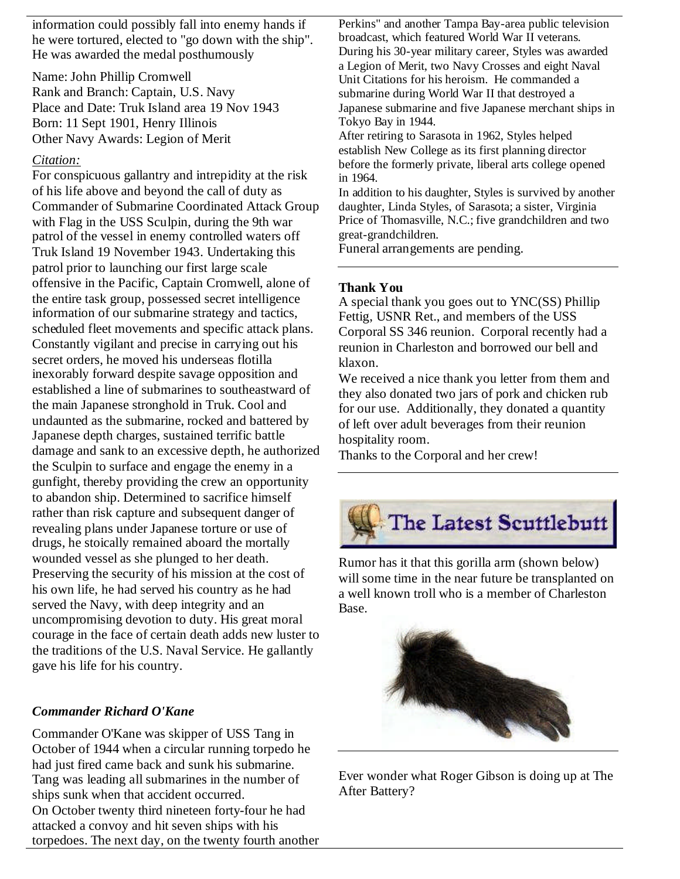information could possibly fall into enemy hands if he were tortured, elected to "go down with the ship". He was awarded the medal posthumously

Name: John Phillip Cromwell Rank and Branch: Captain, U.S. Navy Place and Date: Truk Island area 19 Nov 1943 Born: 11 Sept 1901, Henry Illinois Other Navy Awards: Legion of Merit

## *Citation:*

For conspicuous gallantry and intrepidity at the risk of his life above and beyond the call of duty as Commander of Submarine Coordinated Attack Group with Flag in the USS Sculpin, during the 9th war patrol of the vessel in enemy controlled waters off Truk Island 19 November 1943. Undertaking this patrol prior to launching our first large scale offensive in the Pacific, Captain Cromwell, alone of the entire task group, possessed secret intelligence information of our submarine strategy and tactics, scheduled fleet movements and specific attack plans. Constantly vigilant and precise in carrying out his secret orders, he moved his underseas flotilla inexorably forward despite savage opposition and established a line of submarines to southeastward of the main Japanese stronghold in Truk. Cool and undaunted as the submarine, rocked and battered by Japanese depth charges, sustained terrific battle damage and sank to an excessive depth, he authorized the Sculpin to surface and engage the enemy in a gunfight, thereby providing the crew an opportunity to abandon ship. Determined to sacrifice himself rather than risk capture and subsequent danger of revealing plans under Japanese torture or use of drugs, he stoically remained aboard the mortally wounded vessel as she plunged to her death. Preserving the security of his mission at the cost of his own life, he had served his country as he had served the Navy, with deep integrity and an uncompromising devotion to duty. His great moral courage in the face of certain death adds new luster to the traditions of the U.S. Naval Service. He gallantly gave his life for his country.

# *Commander Richard O'Kane*

Commander O'Kane was skipper of USS Tang in October of 1944 when a circular running torpedo he had just fired came back and sunk his submarine. Tang was leading all submarines in the number of ships sunk when that accident occurred. On October twenty third nineteen forty-four he had attacked a convoy and hit seven ships with his torpedoes. The next day, on the twenty fourth another Perkins" and another Tampa Bay-area public television broadcast, which featured World War II veterans. During his 30-year military career, Styles was awarded a Legion of Merit, two Navy Crosses and eight Naval Unit Citations for his heroism. He commanded a submarine during World War II that destroyed a Japanese submarine and five Japanese merchant ships in Tokyo Bay in 1944.

After retiring to Sarasota in 1962, Styles helped establish New College as its first planning director before the formerly private, liberal arts college opened in 1964.

In addition to his daughter, Styles is survived by another daughter, Linda Styles, of Sarasota; a sister, Virginia Price of Thomasville, N.C.; five grandchildren and two great-grandchildren.

Funeral arrangements are pending.

## **Thank You**

A special thank you goes out to YNC(SS) Phillip Fettig, USNR Ret., and members of the USS Corporal SS 346 reunion. Corporal recently had a reunion in Charleston and borrowed our bell and klaxon.

We received a nice thank you letter from them and they also donated two jars of pork and chicken rub for our use. Additionally, they donated a quantity of left over adult beverages from their reunion hospitality room.

Thanks to the Corporal and her crew!



Rumor has it that this gorilla arm (shown below) will some time in the near future be transplanted on a well known troll who is a member of Charleston Base.



Ever wonder what Roger Gibson is doing up at The After Battery?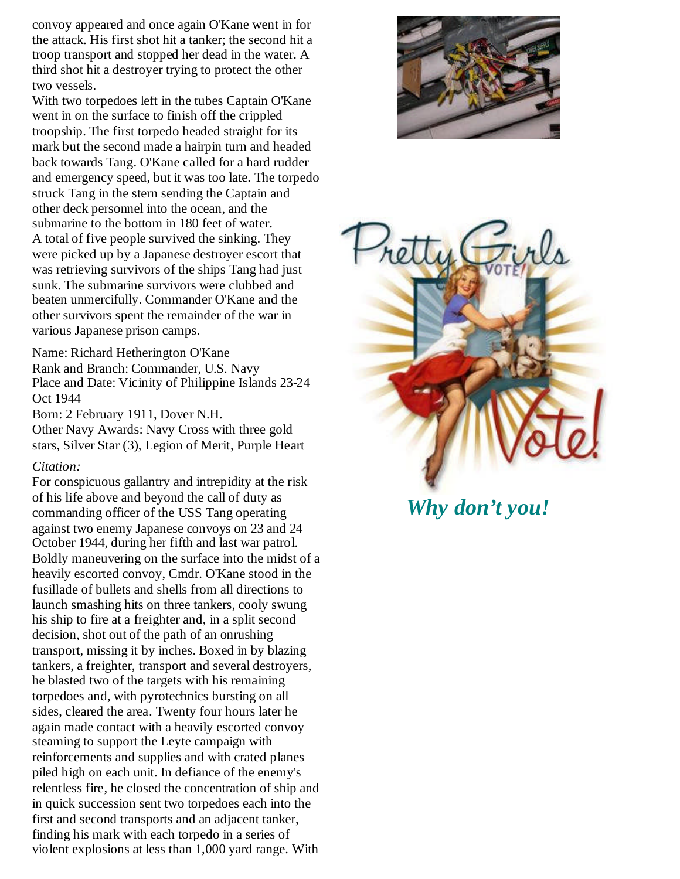convoy appeared and once again O'Kane went in for the attack. His first shot hit a tanker; the second hit a troop transport and stopped her dead in the water. A third shot hit a destroyer trying to protect the other two vessels.

With two torpedoes left in the tubes Captain O'Kane went in on the surface to finish off the crippled troopship. The first torpedo headed straight for its mark but the second made a hairpin turn and headed back towards Tang. O'Kane called for a hard rudder and emergency speed, but it was too late. The torpedo struck Tang in the stern sending the Captain and other deck personnel into the ocean, and the submarine to the bottom in 180 feet of water. A total of five people survived the sinking. They were picked up by a Japanese destroyer escort that was retrieving survivors of the ships Tang had just sunk. The submarine survivors were clubbed and beaten unmercifully. Commander O'Kane and the other survivors spent the remainder of the war in various Japanese prison camps.

Name: Richard Hetherington O'Kane Rank and Branch: Commander, U.S. Navy Place and Date: Vicinity of Philippine Islands 23-24 Oct 1944

Born: 2 February 1911, Dover N.H.

Other Navy Awards: Navy Cross with three gold stars, Silver Star (3), Legion of Merit, Purple Heart

## *Citation:*

For conspicuous gallantry and intrepidity at the risk of his life above and beyond the call of duty as commanding officer of the USS Tang operating against two enemy Japanese convoys on 23 and 24 October 1944, during her fifth and last war patrol. Boldly maneuvering on the surface into the midst of a heavily escorted convoy, Cmdr. O'Kane stood in the fusillade of bullets and shells from all directions to launch smashing hits on three tankers, cooly swung his ship to fire at a freighter and, in a split second decision, shot out of the path of an onrushing transport, missing it by inches. Boxed in by blazing tankers, a freighter, transport and several destroyers, he blasted two of the targets with his remaining torpedoes and, with pyrotechnics bursting on all sides, cleared the area. Twenty four hours later he again made contact with a heavily escorted convoy steaming to support the Leyte campaign with reinforcements and supplies and with crated planes piled high on each unit. In defiance of the enemy's relentless fire, he closed the concentration of ship and in quick succession sent two torpedoes each into the first and second transports and an adjacent tanker, finding his mark with each torpedo in a series of violent explosions at less than 1,000 yard range. With





*Why don't you!*